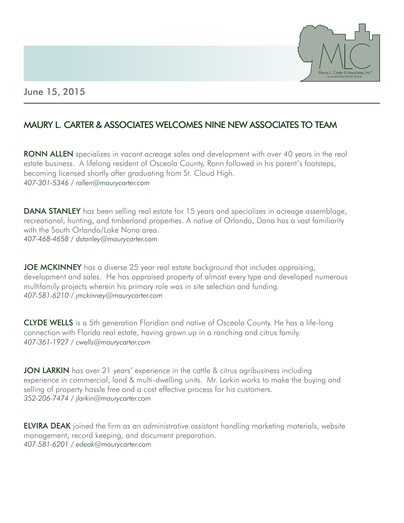

## June 15, 2015

## MAURY L. CARTER & ASSOCIATES WELCOMES NINE NEW ASSOCIATES TO TEAM

**RONN ALLEN** specializes in vacant acreage sales and development with over 40 years in the real estate business. A lifelong resident of Osceola County, Ronn followed in his parent's footsteps, becoming licensed shortly after graduating from St. Cloud High. *407-301-5346 / rallen@maurycarter.com*

**DANA STANLEY** has been selling real estate for 15 years and specializes in acreage assemblage, recreational, hunting, and timberland properties. A native of Orlando, Dana has a vast familiarity with the South Orlando/Lake Nona area. *407-468-4658 / dstanley@maurycarter.com*

JOE MCKINNEY has a diverse 25 year real estate background that includes appraising, development and sales. He has appraised property of almost every type and developed numerous multifamily projects wherein his primary role was in site selection and funding. *407-581-6210 / jmckinney@maurycarter.com*

CLYDE WELLS is a 5th generation Floridian and native of Osceola County. He has a life-long connection with Florida real estate, having grown up in a ranching and citrus family. *407-361-1927 / cwells@maurycarter.com*

JON LARKIN has over 21 years' experience in the cattle & citrus agribusiness including experience in commercial, land & multi-dwelling units. Mr. Larkin works to make the buying and selling of property hassle free and a cost effective process for his customers. *352-206-7474 / jlarkin@maurycarter.com*

**ELVIRA DEAK** joined the firm as an administrative assistant handling marketing materials, website management, record keeping, and document preparation. *407-581-6201 / edeak@maurycarter.com*